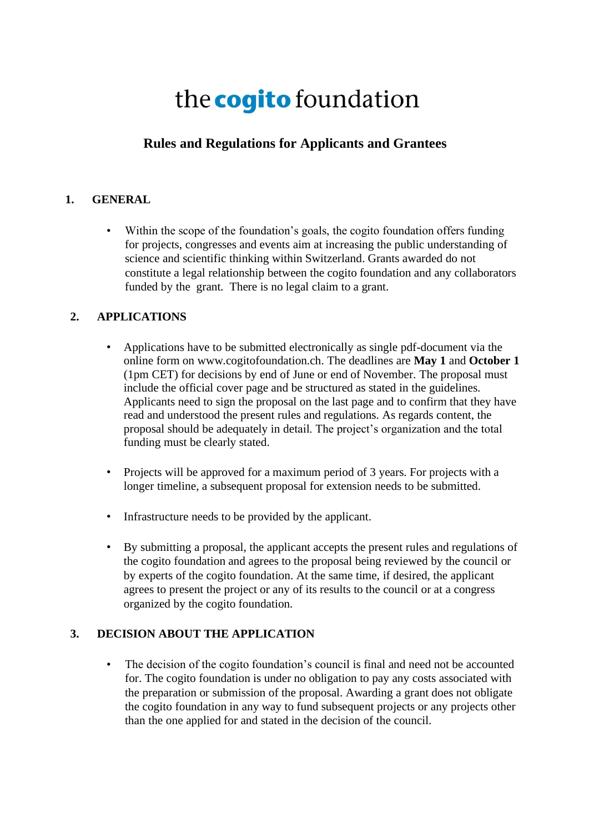# the **cogito** foundation

## **Rules and Regulations for Applicants and Grantees**

### **1. GENERAL**

Within the scope of the foundation's goals, the cogito foundation offers funding for projects, congresses and events aim at increasing the public understanding of science and scientific thinking within Switzerland. Grants awarded do not constitute a legal relationship between the cogito foundation and any collaborators funded by the grant. There is no legal claim to a grant.

### **2. APPLICATIONS**

- Applications have to be submitted electronically as single pdf-document via the online form on www.cogitofoundation.ch. The deadlines are **May 1** and **October 1**  (1pm CET) for decisions by end of June or end of November. The proposal must include the official cover page and be structured as stated in the guidelines. Applicants need to sign the proposal on the last page and to confirm that they have read and understood the present rules and regulations. As regards content, the proposal should be adequately in detail. The project's organization and the total funding must be clearly stated.
- Projects will be approved for a maximum period of 3 years. For projects with a longer timeline, a subsequent proposal for extension needs to be submitted.
- Infrastructure needs to be provided by the applicant.
- By submitting a proposal, the applicant accepts the present rules and regulations of the cogito foundation and agrees to the proposal being reviewed by the council or by experts of the cogito foundation. At the same time, if desired, the applicant agrees to present the project or any of its results to the council or at a congress organized by the cogito foundation.

#### **3. DECISION ABOUT THE APPLICATION**

The decision of the cogito foundation's council is final and need not be accounted for. The cogito foundation is under no obligation to pay any costs associated with the preparation or submission of the proposal. Awarding a grant does not obligate the cogito foundation in any way to fund subsequent projects or any projects other than the one applied for and stated in the decision of the council.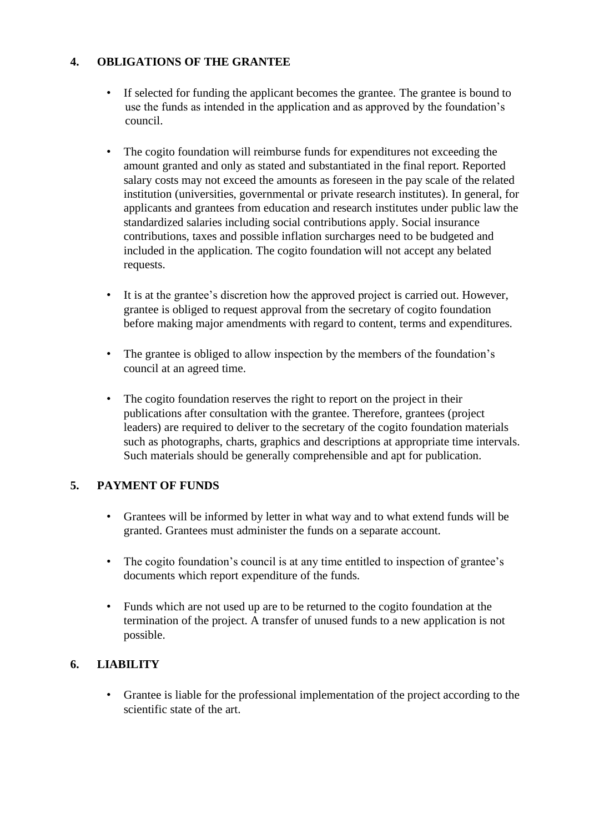## **4. OBLIGATIONS OF THE GRANTEE**

- If selected for funding the applicant becomes the grantee. The grantee is bound to use the funds as intended in the application and as approved by the foundation's council.
- The cogito foundation will reimburse funds for expenditures not exceeding the amount granted and only as stated and substantiated in the final report. Reported salary costs may not exceed the amounts as foreseen in the pay scale of the related institution (universities, governmental or private research institutes). In general, for applicants and grantees from education and research institutes under public law the standardized salaries including social contributions apply. Social insurance contributions, taxes and possible inflation surcharges need to be budgeted and included in the application. The cogito foundation will not accept any belated requests.
- It is at the grantee's discretion how the approved project is carried out. However, grantee is obliged to request approval from the secretary of cogito foundation before making major amendments with regard to content, terms and expenditures.
- The grantee is obliged to allow inspection by the members of the foundation's council at an agreed time.
- The cogito foundation reserves the right to report on the project in their publications after consultation with the grantee. Therefore, grantees (project leaders) are required to deliver to the secretary of the cogito foundation materials such as photographs, charts, graphics and descriptions at appropriate time intervals. Such materials should be generally comprehensible and apt for publication.

### **5. PAYMENT OF FUNDS**

- Grantees will be informed by letter in what way and to what extend funds will be granted. Grantees must administer the funds on a separate account.
- The cogito foundation's council is at any time entitled to inspection of grantee's documents which report expenditure of the funds.
- Funds which are not used up are to be returned to the cogito foundation at the termination of the project. A transfer of unused funds to a new application is not possible.

#### **6. LIABILITY**

• Grantee is liable for the professional implementation of the project according to the scientific state of the art.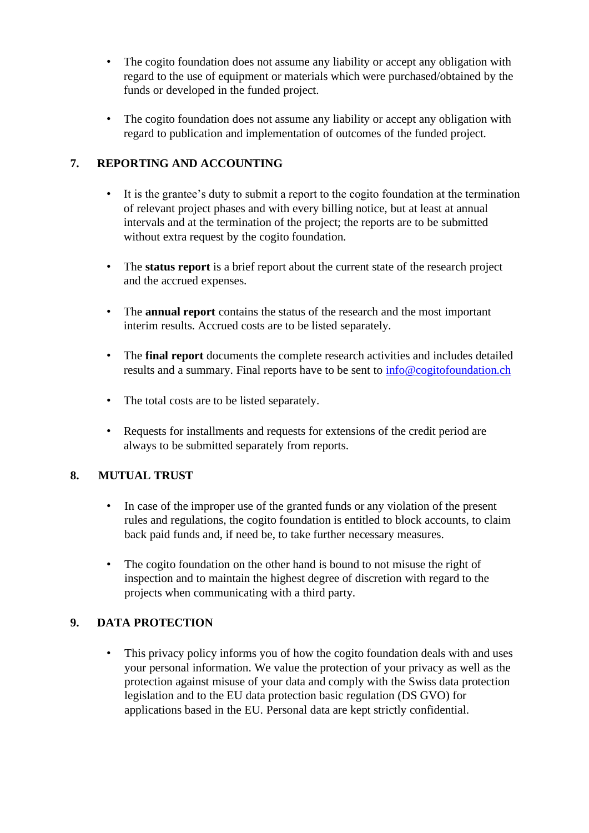- The cogito foundation does not assume any liability or accept any obligation with regard to the use of equipment or materials which were purchased/obtained by the funds or developed in the funded project.
- The cogito foundation does not assume any liability or accept any obligation with regard to publication and implementation of outcomes of the funded project.

## **7. REPORTING AND ACCOUNTING**

- It is the grantee's duty to submit a report to the cogito foundation at the termination of relevant project phases and with every billing notice, but at least at annual intervals and at the termination of the project; the reports are to be submitted without extra request by the cogito foundation.
- The **status report** is a brief report about the current state of the research project and the accrued expenses.
- The **annual report** contains the status of the research and the most important interim results. Accrued costs are to be listed separately.
- The **final report** documents the complete research activities and includes detailed results and a summary. Final reports have to be sent to info@cogitofoundation.ch
- The total costs are to be listed separately.
- Requests for installments and requests for extensions of the credit period are always to be submitted separately from reports.

### **8. MUTUAL TRUST**

- In case of the improper use of the granted funds or any violation of the present rules and regulations, the cogito foundation is entitled to block accounts, to claim back paid funds and, if need be, to take further necessary measures.
- The cogito foundation on the other hand is bound to not misuse the right of inspection and to maintain the highest degree of discretion with regard to the projects when communicating with a third party.

### **9. DATA PROTECTION**

• This privacy policy informs you of how the cogito foundation deals with and uses your personal information. We value the protection of your privacy as well as the protection against misuse of your data and comply with the Swiss data protection legislation and to the EU data protection basic regulation (DS GVO) for applications based in the EU. Personal data are kept strictly confidential.